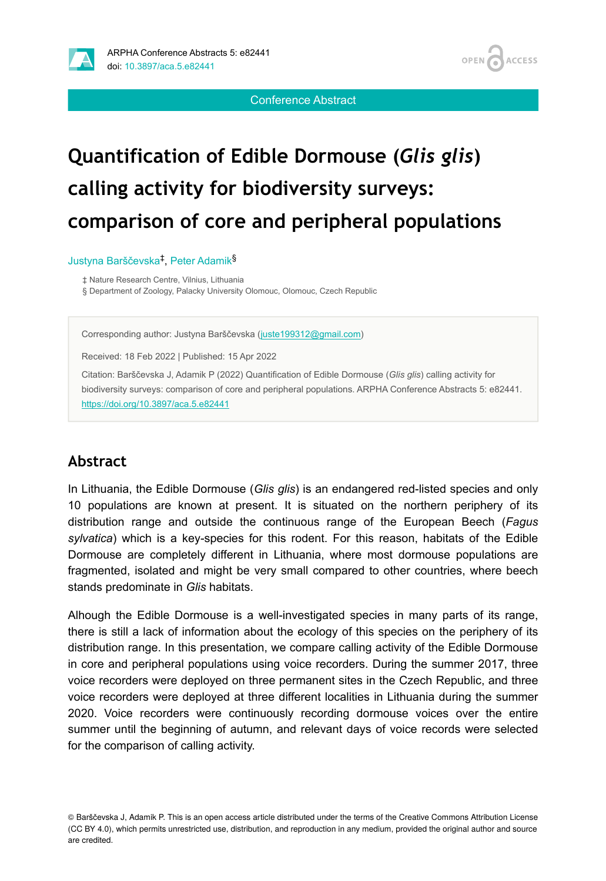



Conference Abstract

# **Quantification of Edible Dormouse (***Glis glis***) calling activity for biodiversity surveys: comparison of core and peripheral populations**

#### Justyna Barščevska<sup>‡</sup>, Peter Adamik<sup>§</sup>

‡ Nature Research Centre, Vilnius, Lithuania

§ Department of Zoology, Palacky University Olomouc, Olomouc, Czech Republic

Corresponding author: Justyna Barščevska ([juste199312@gmail.com](mailto:juste199312@gmail.com))

Received: 18 Feb 2022 | Published: 15 Apr 2022

Citation: Barščevska J, Adamik P (2022) Quantification of Edible Dormouse (*Glis glis*) calling activity for biodiversity surveys: comparison of core and peripheral populations. ARPHA Conference Abstracts 5: e82441. <https://doi.org/10.3897/aca.5.e82441>

#### **Abstract**

In Lithuania, the Edible Dormouse (*Glis glis*) is an endangered red-listed species and only 10 populations are known at present. It is situated on the northern periphery of its distribution range and outside the continuous range of the European Beech (*Fagus sylvatica*) which is a key-species for this rodent. For this reason, habitats of the Edible Dormouse are completely different in Lithuania, where most dormouse populations are fragmented, isolated and might be very small compared to other countries, where beech stands predominate in *Glis* habitats.

Alhough the Edible Dormouse is a well-investigated species in many parts of its range, there is still a lack of information about the ecology of this species on the periphery of its distribution range. In this presentation, we compare calling activity of the Edible Dormouse in core and peripheral populations using voice recorders. During the summer 2017, three voice recorders were deployed on three permanent sites in the Czech Republic, and three voice recorders were deployed at three different localities in Lithuania during the summer 2020. Voice recorders were continuously recording dormouse voices over the entire summer until the beginning of autumn, and relevant days of voice records were selected for the comparison of calling activity.

<sup>©</sup> Barščevska J, Adamik P. This is an open access article distributed under the terms of the Creative Commons Attribution License (CC BY 4.0), which permits unrestricted use, distribution, and reproduction in any medium, provided the original author and source are credited.